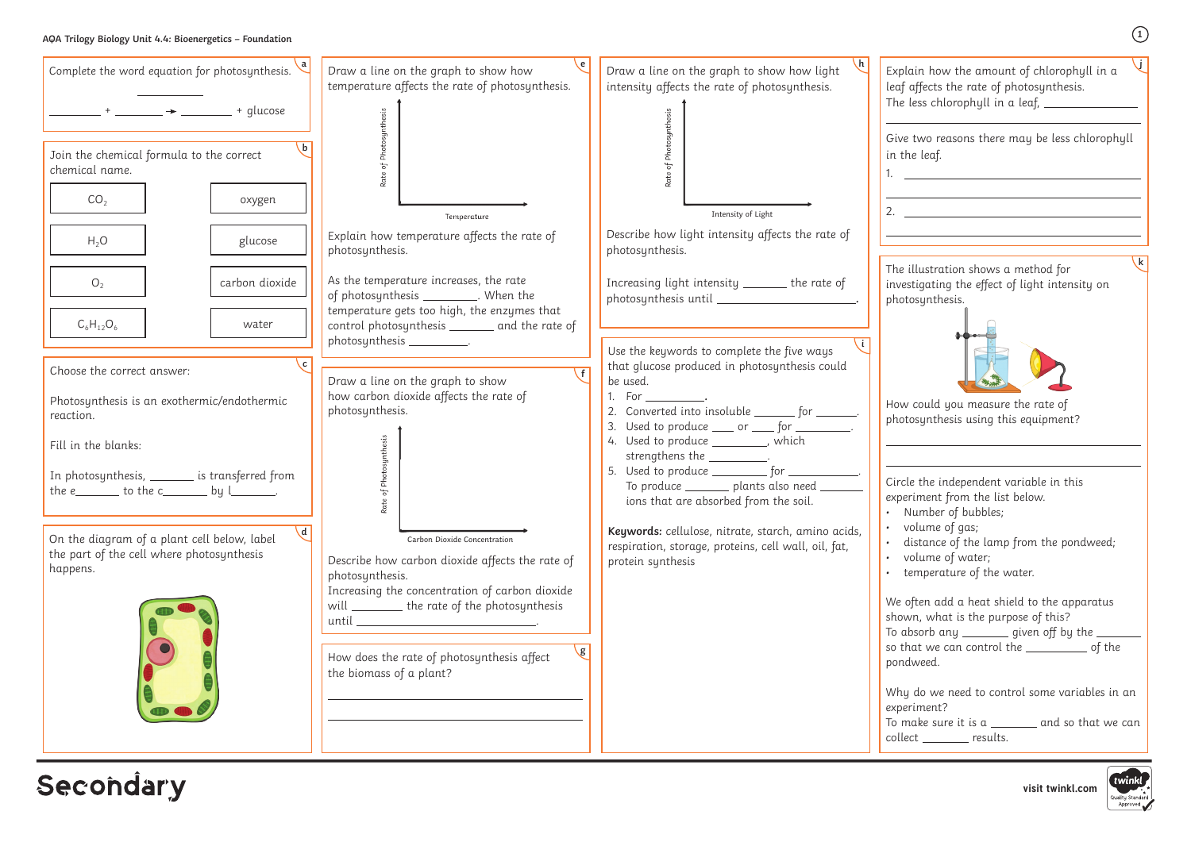## **AQA Trilogy Biology Unit 4.4: Bioenergetics – Foundation**

**1**

**j**

- Number of bubbles;
- volume of gas;
- distance of the lamp from the pondweed;
- volume of water;
- temperature of the water.

often add a heat shield to the apparatus own, what is the purpose of this? absorb any  $\frac{1}{\sqrt{1-\frac{1}{\sqrt{1-\frac{1}{\sqrt{1-\frac{1}{\sqrt{1-\frac{1}{\sqrt{1-\frac{1}{\sqrt{1-\frac{1}{\sqrt{1-\frac{1}{\sqrt{1-\frac{1}{\sqrt{1-\frac{1}{\sqrt{1-\frac{1}{\sqrt{1-\frac{1}{\sqrt{1-\frac{1}{\sqrt{1-\frac{1}{\sqrt{1-\frac{1}{\sqrt{1-\frac{1}{\sqrt{1-\frac{1}{\sqrt{1-\frac{1}{\sqrt{1-\frac{1}{\sqrt{1-\frac{1}{\sqrt{1-\frac{1}{\sqrt{1-\frac{1}{\sqrt{1-\frac{1}{\sqrt{1-\frac$ that we can control the \_\_\_\_\_\_\_\_\_\_\_\_ of the ndweed.

ny do we need to control some variables in an periment?

make sure it is a \_\_\_\_\_\_\_ and so that we can llect \_\_\_\_\_\_\_ results.



| Complete the word equation for photosynthesis.                                                                                                                                                                                                               | Draw a line on the graph to show how<br>temperature affects the rate of photosynthesis.                                                                                                                                                                                                        | $\mathsf{h}$<br>Draw a line on the graph to show how light<br>Ex<br>intensity affects the rate of photosynthesis.<br>lea                                                                                                                                                                                                                                                                                                           |
|--------------------------------------------------------------------------------------------------------------------------------------------------------------------------------------------------------------------------------------------------------------|------------------------------------------------------------------------------------------------------------------------------------------------------------------------------------------------------------------------------------------------------------------------------------------------|------------------------------------------------------------------------------------------------------------------------------------------------------------------------------------------------------------------------------------------------------------------------------------------------------------------------------------------------------------------------------------------------------------------------------------|
| $\frac{1}{1}$ + _______ $\rightarrow$ ________ + glucose                                                                                                                                                                                                     |                                                                                                                                                                                                                                                                                                | Th<br>Gi                                                                                                                                                                                                                                                                                                                                                                                                                           |
| Join the chemical formula to the correct<br>chemical name.                                                                                                                                                                                                   | Rate of Photosynthesis                                                                                                                                                                                                                                                                         | Rate of Photosynthesis<br>in<br>1.                                                                                                                                                                                                                                                                                                                                                                                                 |
| CO <sub>2</sub><br>oxygen                                                                                                                                                                                                                                    | Temperature                                                                                                                                                                                                                                                                                    | 2.<br>Intensity of Light                                                                                                                                                                                                                                                                                                                                                                                                           |
| $H_2O$<br>glucose                                                                                                                                                                                                                                            | Explain how temperature affects the rate of<br>photosynthesis.                                                                                                                                                                                                                                 | Describe how light intensity affects the rate of<br>photosynthesis.                                                                                                                                                                                                                                                                                                                                                                |
| carbon dioxide<br>O <sub>2</sub>                                                                                                                                                                                                                             | As the temperature increases, the rate<br>of photosynthesis ___________. When the                                                                                                                                                                                                              | The<br>Increasing light intensity ______ the rate of<br>inv<br>pho                                                                                                                                                                                                                                                                                                                                                                 |
| $C_6H_{12}O_6$<br>water                                                                                                                                                                                                                                      | temperature gets too high, the enzymes that<br>control photosynthesis _______ and the rate of<br>photosynthesis ___________.                                                                                                                                                                   | Use the keywords to complete the five ways                                                                                                                                                                                                                                                                                                                                                                                         |
| Choose the correct answer:<br>Photosynthesis is an exothermic/endothermic<br>reaction.<br>Fill in the blanks:<br>In photosynthesis, ________ is transferred from<br>the e $\rule{1em}{0.15mm}$ to the c $\rule{1.15mm}{0.15mm}$ by $\rule{1.15mm}{0.15mm}$ . | Draw a line on the graph to show<br>how carbon dioxide affects the rate of<br>photosynthesis.<br>of Photosynthesis<br>Rat                                                                                                                                                                      | that glucose produced in photosynthesis could<br>be used.<br>1. For ,<br>Ho<br>2. Converted into insoluble ________ for _______.<br>pho<br>3. Used to produce <u>equilibrary for the set of</u> .<br>4. Used to produce _________, which<br>strengthens the __________.<br>5. Used to produce ____________ for _____________.<br>Cir<br>To produce ________ plants also need _____<br>exp<br>ions that are absorbed from the soil. |
| $\mathbf{d}$<br>On the diagram of a plant cell below, label<br>the part of the cell where photosynthesis<br>happens.                                                                                                                                         | Carbon Dioxide Concentration<br>Describe how carbon dioxide affects the rate of<br>photosynthesis.<br>Increasing the concentration of carbon dioxide<br>will _________ the rate of the photosynthesis<br>$\mathbf{g}$<br>How does the rate of photosynthesis affect<br>the biomass of a plant? | Keywords: cellulose, nitrate, starch, amino acids,<br>respiration, storage, proteins, cell wall, oil, fat,<br>$\bullet$<br>protein synthesis<br>We<br>sho<br>To<br>SO<br>por<br>Wł<br>exp<br>To<br>col                                                                                                                                                                                                                             |

**Secondary** 

plain how the amount of chlorophyll in a af affects the rate of photosynthesis.  $\alpha$  less chlorophyll in a leaf,  $\overline{\phantom{a}}$ 

**k**

ve two reasons there may be less chlorophyll the leaf.

the illustration shows a method for vestigating the effect of light intensity on otosynthesis.



w could you measure the rate of otosynthesis using this equipment?

rcle the independent variable in this periment from the list below.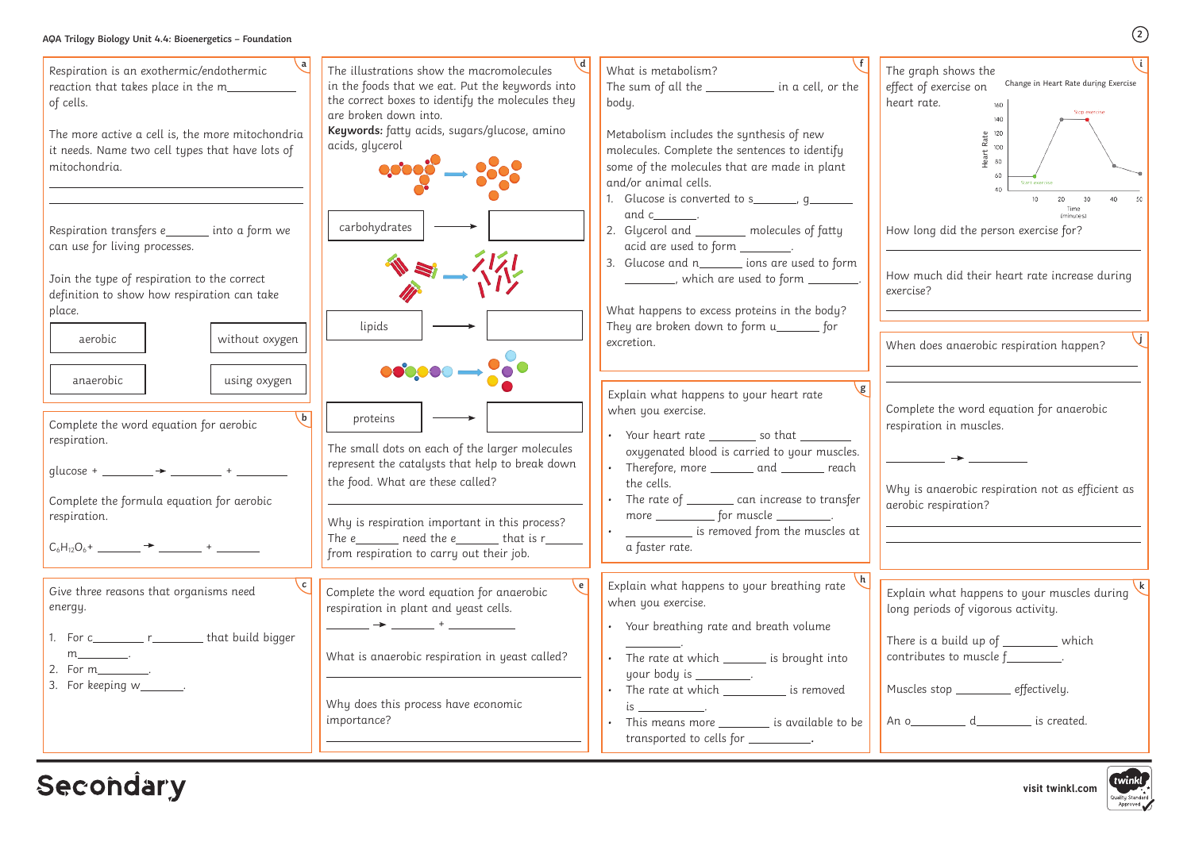## **AQA Trilogy Biology Unit 4.4: Bioenergetics – Foundation**

| AQA Trilogy Biology Unit 4.4: Bioenergetics - Foundation                                                                                                                                                             |                                                                                                                                                                                                                                                                                                                      |                                                                                                                                                                                                                                                                                                                                                                                                          | $\left( 2\right)$                                                                                                                                                                                                                          |
|----------------------------------------------------------------------------------------------------------------------------------------------------------------------------------------------------------------------|----------------------------------------------------------------------------------------------------------------------------------------------------------------------------------------------------------------------------------------------------------------------------------------------------------------------|----------------------------------------------------------------------------------------------------------------------------------------------------------------------------------------------------------------------------------------------------------------------------------------------------------------------------------------------------------------------------------------------------------|--------------------------------------------------------------------------------------------------------------------------------------------------------------------------------------------------------------------------------------------|
| Respiration is an exothermic/endothermic<br>reaction that takes place in the m_<br>of cells.<br>The more active a cell is, the more mitochondria<br>it needs. Name two cell types that have lots of<br>mitochondria. | The illustrations show the macromolecules<br>in the foods that we eat. Put the keywords into<br>the correct boxes to identify the molecules they<br>are broken down into.<br>Keywords: fatty acids, sugars/glucose, amino<br>acids, glycerol                                                                         | What is metabolism?<br>The sum of all the _____________ in a cell, or the<br>body.<br>Metabolism includes the synthesis of new<br>molecules. Complete the sentences to identify<br>some of the molecules that are made in plant<br>and/or animal cells.<br>1. Glucose is converted to s______, g_____                                                                                                    | The graph shows the<br>Change in Heart Rate during Exercise<br>effect of exercise on<br>heart rate.<br>Stop exercise<br>140<br>$R_{\text{H}}^{2}$ 120<br>100<br>80<br>Start exercise                                                       |
| Respiration transfers e________ into a form we<br>can use for living processes.<br>Join the type of respiration to the correct<br>definition to show how respiration can take<br>place.<br>without oxygen<br>aerobic | carbohydrates<br>lipids<br>$\bullet\bullet\bullet\bullet\bullet\longrightarrow$                                                                                                                                                                                                                                      | and c_______.<br>2. Glycerol and _______ molecules of fatty<br>acid are used to form ________.<br>3. Glucose and n________ ions are used to form<br>__________, which are used to form _________.<br>What happens to excess proteins in the body?<br>They are broken down to form u_______ for<br>excretion.                                                                                             | (minutes)<br>How long did the person exercise for?<br>How much did their heart rate increase during<br>exercise?<br>When does anaerobic respiration happen?                                                                                |
| using oxygen<br>anaerobic<br>$\mathbf{b}$<br>Complete the word equation for aerobic<br>respiration.<br>glucose +<br>Complete the formula equation for aerobic<br>respiration.                                        | proteins<br>The small dots on each of the larger molecules<br>represent the catalysts that help to break down<br>the food. What are these called?<br>Why is respiration important in this process?<br>The e $\_\_\_\_\$ need the e $\_\_\_\_\$ that is r $\_\_\_\_\_\_\$<br>from respiration to carry out their job. | $\mathbf{g}$<br>Explain what happens to your heart rate<br>when you exercise.<br>Your heart rate _________ so that ______<br>oxygenated blood is carried to your muscles.<br>Therefore, more _<br>and $\_\_$<br><sub>.</sub> reach<br>the cells.<br>The rate of $\_\_\_\_\_$ can increase to transfer<br>more ______________ for muscle ___________.<br>is removed from the muscles at<br>a faster rate. | Complete the word equation for anaerobic<br>respiration in muscles.<br>Why is anaerobic respiration not as efficient as<br>aerobic respiration?                                                                                            |
| Give three reasons that organisms need<br>energy.<br>For c____________ r___________ that build bigger<br>m_______________.<br>2. For m___________.<br>3. For keeping $w$                                             | $\epsilon$<br>Complete the word equation for anaerobic<br>respiration in plant and yeast cells.<br>____ <del>→</del> _____ + __________<br>What is anaerobic respiration in yeast called?<br>Why does this process have economic<br>importance?                                                                      | Explain what happens to your breathing rate<br>when you exercise.<br>• Your breathing rate and breath volume<br>The rate at which ________ is brought into<br>your body is _________.<br>The rate at which _____________ is removed<br>This means more _________ is available to be <u> </u><br>transported to cells for ___________.                                                                    | Explain what happens to your muscles during<br>long periods of vigorous activity.<br>There is a build up of _________ which<br>contributes to muscle $f$ _________.<br>Muscles stop ________ effectively.<br>An o an d an d an is created. |
| <b>Secondary</b>                                                                                                                                                                                                     |                                                                                                                                                                                                                                                                                                                      |                                                                                                                                                                                                                                                                                                                                                                                                          | twinkl<br>visit twinkl.com<br>Quality Standard                                                                                                                                                                                             |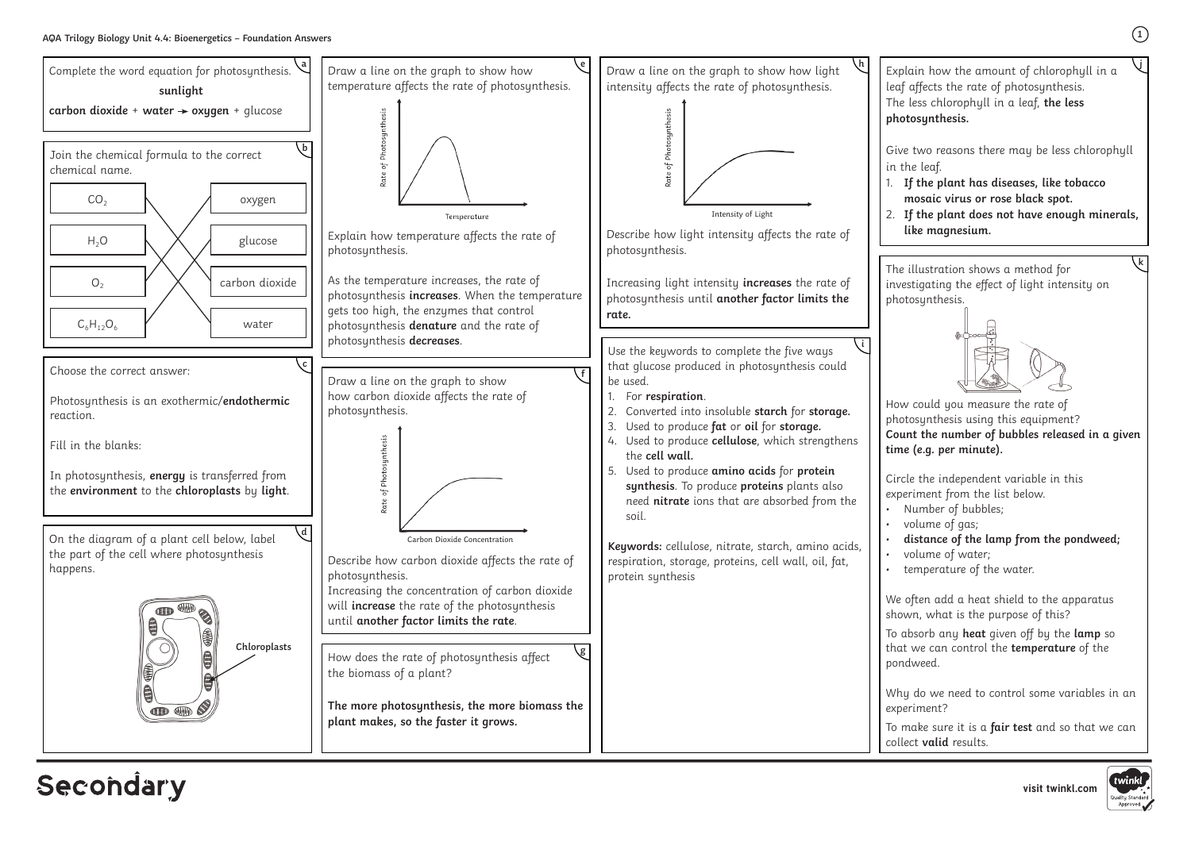**visit twinkl.com**



## **Secondary**

**1**

Explain how the amount of chlorophyll in a leaf affects the rate of photosynthesis. The less chlorophyll in a leaf, **the less photosynthesis.** 

Give two reasons there may be less chlorophyll in the leaf.

- 1. **If the plant has diseases, like tobacco mosaic virus or rose black spot.**
- 2. **If the plant does not have enough minerals, like magnesium.**

**j**

- Number of bubbles;
	- volume of gas;
	- **distance of the lamp from the pondweed;** • volume of water;
	- temperature of the water.

The illustration shows a method for investigating the effect of light intensity on photosynthesis.



How could you measure the rate of photosynthesis using this equipment? **Count the number of bubbles released in a given time (e.g. per minute).**

Circle the independent variable in this experiment from the list below.

We often add a heat shield to the apparatus shown, what is the purpose of this?

To absorb any **heat** given off by the **lamp** so that we can control the **temperature** of the pondweed.

Why do we need to control some variables in an experiment?

To make sure it is a **fair test** and so that we can collect **valid** results.



**k**